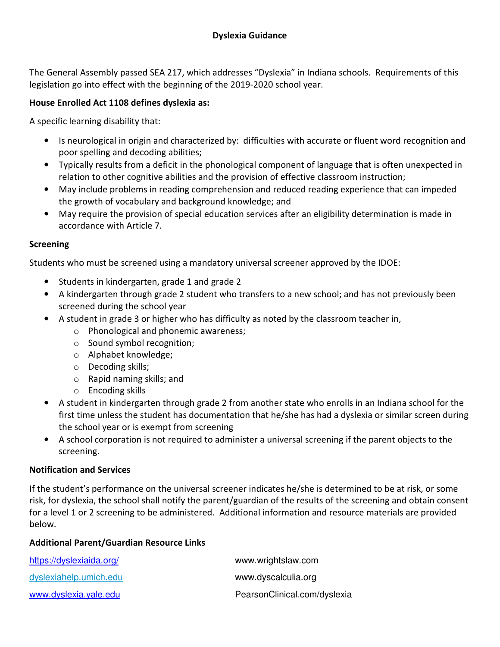The General Assembly passed SEA 217, which addresses "Dyslexia" in Indiana schools. Requirements of this legislation go into effect with the beginning of the 2019-2020 school year.

## **House Enrolled Act 1108 defines dyslexia as:**

A specific learning disability that:

- Is neurological in origin and characterized by: difficulties with accurate or fluent word recognition and poor spelling and decoding abilities;
- Typically results from a deficit in the phonological component of language that is often unexpected in relation to other cognitive abilities and the provision of effective classroom instruction;
- May include problems in reading comprehension and reduced reading experience that can impeded the growth of vocabulary and background knowledge; and
- May require the provision of special education services after an eligibility determination is made in accordance with Article 7.

### **Screening**

Students who must be screened using a mandatory universal screener approved by the IDOE:

- Students in kindergarten, grade 1 and grade 2
- A kindergarten through grade 2 student who transfers to a new school; and has not previously been screened during the school year
- A student in grade 3 or higher who has difficulty as noted by the classroom teacher in,
	- o Phonological and phonemic awareness;
	- o Sound symbol recognition;
	- o Alphabet knowledge;
	- o Decoding skills;
	- o Rapid naming skills; and
	- o Encoding skills
- A student in kindergarten through grade 2 from another state who enrolls in an Indiana school for the first time unless the student has documentation that he/she has had a dyslexia or similar screen during the school year or is exempt from screening
- A school corporation is not required to administer a universal screening if the parent objects to the screening.

#### **Notification and Services**

If the student's performance on the universal screener indicates he/she is determined to be at risk, or some risk, for dyslexia, the school shall notify the parent/guardian of the results of the screening and obtain consent for a level 1 or 2 screening to be administered. Additional information and resource materials are provided below.

#### **Additional Parent/Guardian Resource Links**

| https://dyslexiaida.org/ | www.wrightslaw.com           |
|--------------------------|------------------------------|
| dyslexiahelp.umich.edu   | www.dyscalculia.org          |
| www.dyslexia.yale.edu    | PearsonClinical.com/dyslexia |